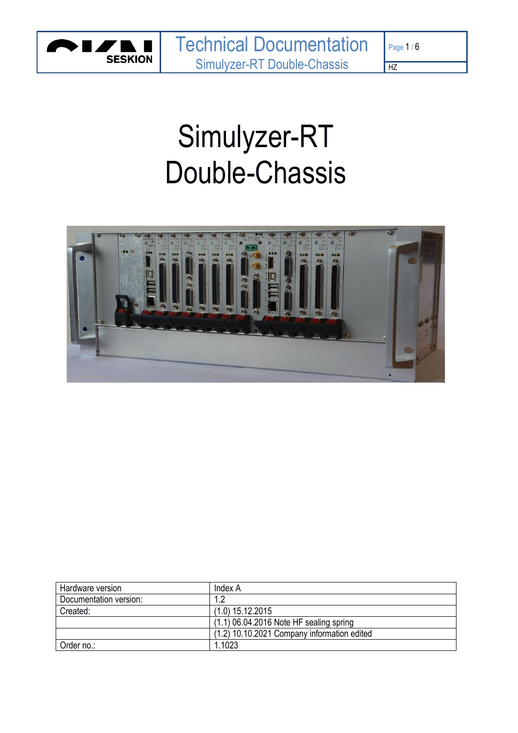

# Simulyzer-RT Double-Chassis



| Hardware version       | Index A                                     |
|------------------------|---------------------------------------------|
| Documentation version: |                                             |
| Created:               | $(1.0)$ 15.12.2015                          |
|                        | $(1.1)$ 06.04.2016 Note HF sealing spring   |
|                        | (1.2) 10.10.2021 Company information edited |
| Order no.:             | 1.1023                                      |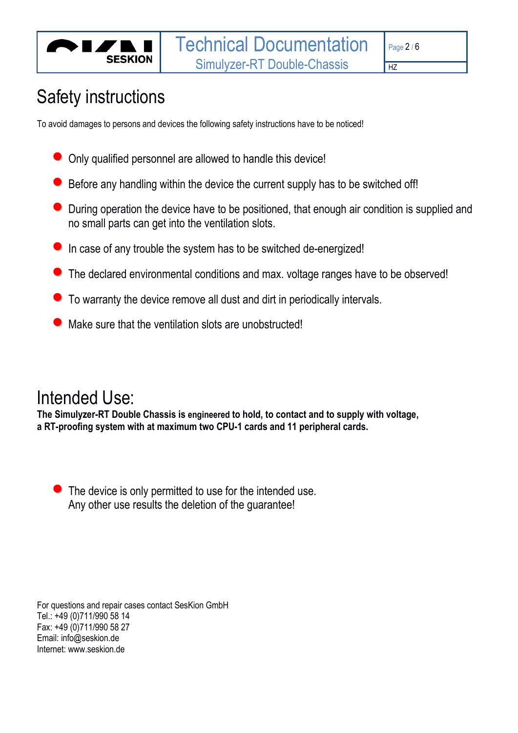

# Safety instructions

To avoid damages to persons and devices the following safety instructions have to be noticed!

- Only qualified personnel are allowed to handle this device!
- Before any handling within the device the current supply has to be switched off!
- During operation the device have to be positioned, that enough air condition is supplied and no small parts can get into the ventilation slots.
- **•** In case of any trouble the system has to be switched de-energized!
- The declared environmental conditions and max. voltage ranges have to be observed!
- To warranty the device remove all dust and dirt in periodically intervals.
- $\bullet$  Make sure that the ventilation slots are unobstructed!

# Intended Use:

**The Simulyzer-RT Double Chassis is engineered to hold, to contact and to supply with voltage, a RT-proofing system with at maximum two CPU-1 cards and 11 peripheral cards.**

• The device is only permitted to use for the intended use. Any other use results the deletion of the guarantee!

For questions and repair cases contact SesKion GmbH Tel.: +49 (0)711/990 58 14 Fax: +49 (0)711/990 58 27 Email: info@seskion.de Internet: www.seskion.de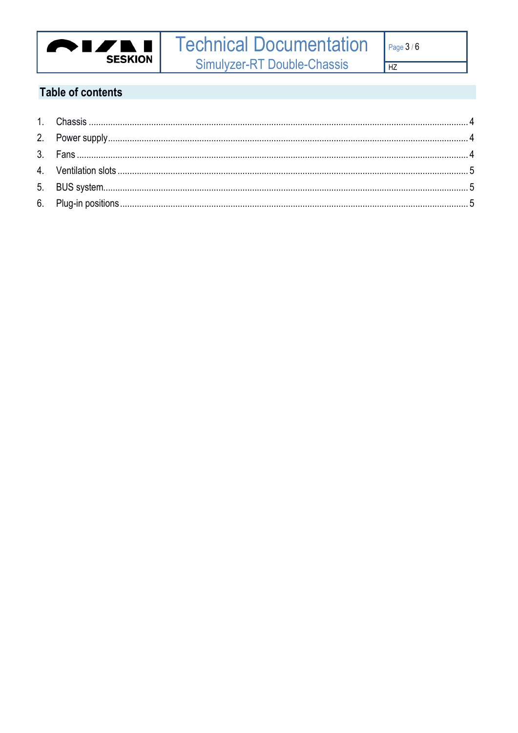

# **Table of contents**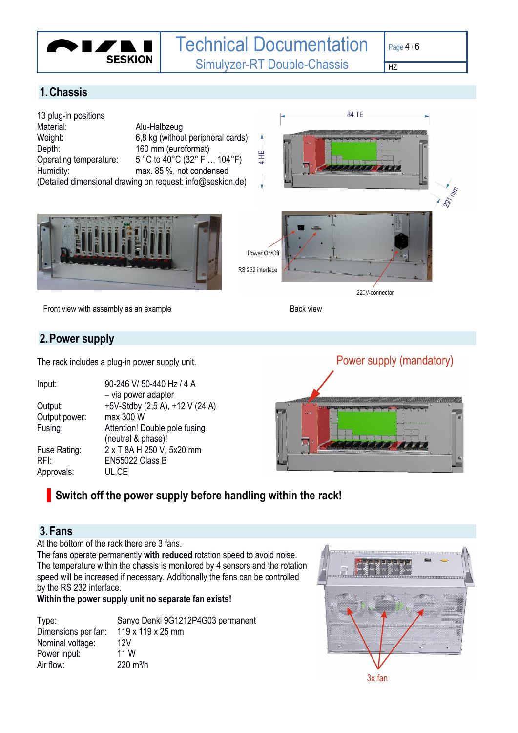

## <span id="page-3-0"></span>**1.Chassis**



Front view with assembly as an example Back view

#### <span id="page-3-1"></span>**2.Power supply**

The rack includes a plug-in power supply unit.

| Input:        | 90-246 V/ 50-440 Hz / 4 A<br>- via power adapter |
|---------------|--------------------------------------------------|
| Output:       | +5V-Stdby (2,5 A), +12 V (24 A)                  |
|               |                                                  |
| Output power: | max 300 W                                        |
| Fusing:       | Attention! Double pole fusing                    |
|               | (neutral & phase)!                               |
| Fuse Rating:  | 2 x T 8A H 250 V, 5x20 mm                        |
| RFI:          | EN55022 Class B                                  |
| Approvals:    | UL.CE                                            |



## **Switch off the power supply before handling within the rack!**

### <span id="page-3-2"></span>**3.Fans**

At the bottom of the rack there are 3 fans.

The fans operate permanently **with reduced** rotation speed to avoid noise. The temperature within the chassis is monitored by 4 sensors and the rotation speed will be increased if necessary. Additionally the fans can be controlled by the RS 232 interface.

#### **Within the power supply unit no separate fan exists!**

| Type:               | Sanyo Denki 9G1212P4G03 permanent |
|---------------------|-----------------------------------|
| Dimensions per fan: | 119 x 119 x 25 mm                 |
| Nominal voltage:    | 12V                               |
| Power input:        | 11 W                              |
| Air flow:           | $220 \text{ m}^3$ /h              |

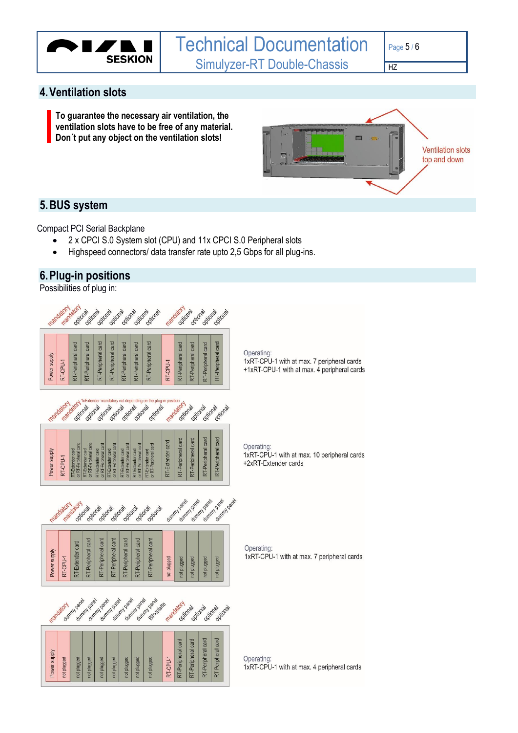

#### <span id="page-4-0"></span>**4.Ventilation slots**

**To guarantee the necessary air ventilation, the ventilation slots have to be free of any material. Don´t put any object on the ventilation slots!**



#### <span id="page-4-1"></span>**5.BUS system**

Compact PCI Serial Backplane

- 2 x CPCI S.0 System slot (CPU) and 11x CPCI S.0 Peripheral slots
- Highspeed connectors/ data transfer rate upto 2,5 Gbps for all plug-ins.

#### <span id="page-4-2"></span>**6.Plug-in positions**

Possibilities of plug in:



1xRT-CPU-1 with at max. 10 peripheral cards +2xRT-Extender cards

1xRT-CPU-1 with at max. 7 peripheral cards

1xRT-CPU-1 with at max. 4 peripheral cards